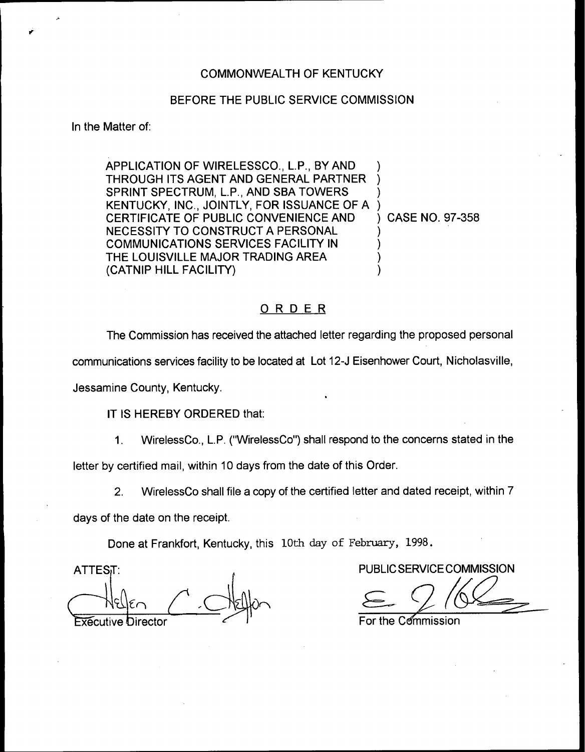## COMMONWEALTH OF KENTUCKY

## BEFORE THE PUBLIC SERVICE COMMISSION

In the Matter of:

APPLICATION OF WIRELESSCO., L.P., BY AND THROUGH ITS AGENT AND GENERAL PARTNER SPRINT SPECTRUM, L.P., AND SBA TOWERS KENTUCKY, INC., JOINTLY, FOR ISSUANCE OF A CERTIFICATE OF PUBLIC CONVENIENCE AND NECESSITY TO CONSTRUCT A PERSONAL COMMUNICATIONS SERVICES FACILITY IN THE LOUISVILLE MAJOR TRADING AREA (CATNIP HILL FACILITY) ) ) ) ) ) CASE NO. 97-358 ) ) ) )

## ORDER

The Commission has received the attached letter regarding the proposed personal

communications services facility to be located at Lot i2-J Eisenhower Court, Nicholasville,

Jessamine County, Kentucky.

IT IS HEREBY ORDERED that:

1. WirelessCo., L.P. ("WirelessCo") shall respond to the concerns stated in the

letter by certified mail, within 10 days from the date of this Order.

2. WirelessCo shall file a copy of the certified letter and dated receipt, within 7

days of the date on the receipt.

Done at Frankfort, Kentucky, this 10th day of February, 1998.

**ATTEST:** Executive Director **For the Commission** 

PUBLIC SERVICE COMMISSION